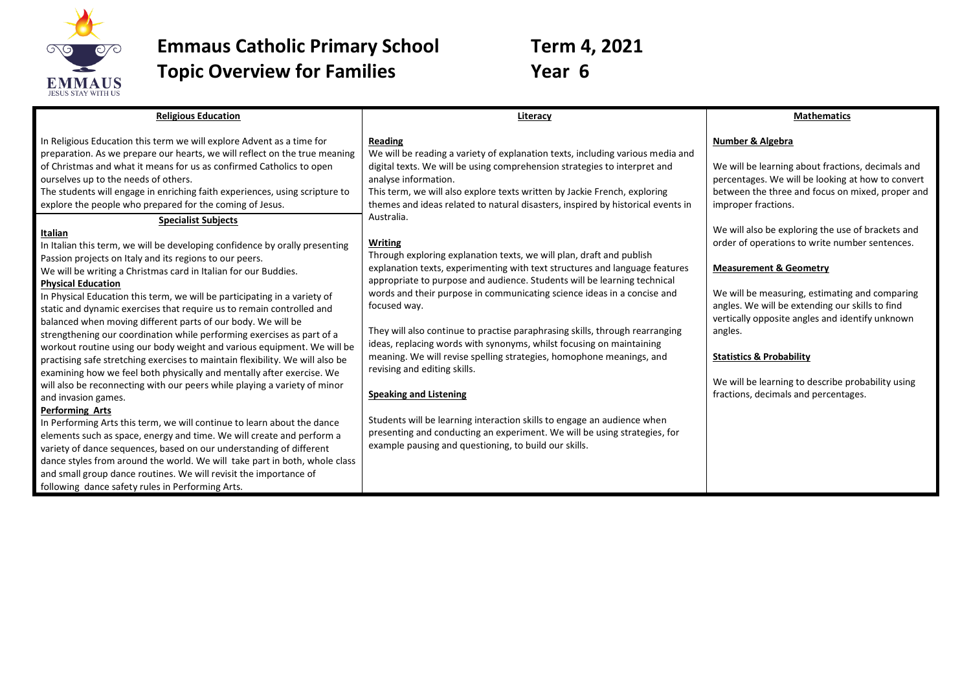

**Emmaus Catholic Primary School Term 4, 2021 Topic Overview for Families Year 6** 

| <b>Religious Education</b>                                                                                                                                                                                                                                                                                                                                                                                                                                                                                                                                                                                                                                                                                                                                                                                                                                                                                                                                                                                                                                                                                                                                                                                                                                                                                                       | Literacy                                                                                                                                                                                                                                                                                                                                                                                                                                                                                                                                                                                                                                                                                                                                                                                                                                                                     | <b>Mathematics</b>                                                                                                                                                                                                                                                                                                                                                                                                                              |
|----------------------------------------------------------------------------------------------------------------------------------------------------------------------------------------------------------------------------------------------------------------------------------------------------------------------------------------------------------------------------------------------------------------------------------------------------------------------------------------------------------------------------------------------------------------------------------------------------------------------------------------------------------------------------------------------------------------------------------------------------------------------------------------------------------------------------------------------------------------------------------------------------------------------------------------------------------------------------------------------------------------------------------------------------------------------------------------------------------------------------------------------------------------------------------------------------------------------------------------------------------------------------------------------------------------------------------|------------------------------------------------------------------------------------------------------------------------------------------------------------------------------------------------------------------------------------------------------------------------------------------------------------------------------------------------------------------------------------------------------------------------------------------------------------------------------------------------------------------------------------------------------------------------------------------------------------------------------------------------------------------------------------------------------------------------------------------------------------------------------------------------------------------------------------------------------------------------------|-------------------------------------------------------------------------------------------------------------------------------------------------------------------------------------------------------------------------------------------------------------------------------------------------------------------------------------------------------------------------------------------------------------------------------------------------|
| In Religious Education this term we will explore Advent as a time for<br>preparation. As we prepare our hearts, we will reflect on the true meaning<br>of Christmas and what it means for us as confirmed Catholics to open<br>ourselves up to the needs of others.<br>The students will engage in enriching faith experiences, using scripture to<br>explore the people who prepared for the coming of Jesus.                                                                                                                                                                                                                                                                                                                                                                                                                                                                                                                                                                                                                                                                                                                                                                                                                                                                                                                   | Reading<br>We will be reading a variety of explanation texts, including various media and<br>digital texts. We will be using comprehension strategies to interpret and<br>analyse information.<br>This term, we will also explore texts written by Jackie French, exploring<br>themes and ideas related to natural disasters, inspired by historical events in                                                                                                                                                                                                                                                                                                                                                                                                                                                                                                               | Number & Algebra<br>We will be learning about fractions, decimals and<br>percentages. We will be looking at how to convert<br>between the three and focus on mixed, proper and<br>improper fractions.                                                                                                                                                                                                                                           |
| <b>Specialist Subjects</b><br>Italian<br>In Italian this term, we will be developing confidence by orally presenting<br>Passion projects on Italy and its regions to our peers.<br>We will be writing a Christmas card in Italian for our Buddies.<br><b>Physical Education</b><br>In Physical Education this term, we will be participating in a variety of<br>static and dynamic exercises that require us to remain controlled and<br>balanced when moving different parts of our body. We will be<br>strengthening our coordination while performing exercises as part of a<br>workout routine using our body weight and various equipment. We will be<br>practising safe stretching exercises to maintain flexibility. We will also be<br>examining how we feel both physically and mentally after exercise. We<br>will also be reconnecting with our peers while playing a variety of minor<br>and invasion games.<br><b>Performing Arts</b><br>In Performing Arts this term, we will continue to learn about the dance<br>elements such as space, energy and time. We will create and perform a<br>variety of dance sequences, based on our understanding of different<br>dance styles from around the world. We will take part in both, whole class<br>and small group dance routines. We will revisit the importance of | Australia.<br><b>Writing</b><br>Through exploring explanation texts, we will plan, draft and publish<br>explanation texts, experimenting with text structures and language features<br>appropriate to purpose and audience. Students will be learning technical<br>words and their purpose in communicating science ideas in a concise and<br>focused way.<br>They will also continue to practise paraphrasing skills, through rearranging<br>ideas, replacing words with synonyms, whilst focusing on maintaining<br>meaning. We will revise spelling strategies, homophone meanings, and<br>revising and editing skills.<br><b>Speaking and Listening</b><br>Students will be learning interaction skills to engage an audience when<br>presenting and conducting an experiment. We will be using strategies, for<br>example pausing and questioning, to build our skills. | We will also be exploring the use of brackets and<br>order of operations to write number sentences.<br><b>Measurement &amp; Geometry</b><br>We will be measuring, estimating and comparing<br>angles. We will be extending our skills to find<br>vertically opposite angles and identify unknown<br>angles.<br><b>Statistics &amp; Probability</b><br>We will be learning to describe probability using<br>fractions, decimals and percentages. |